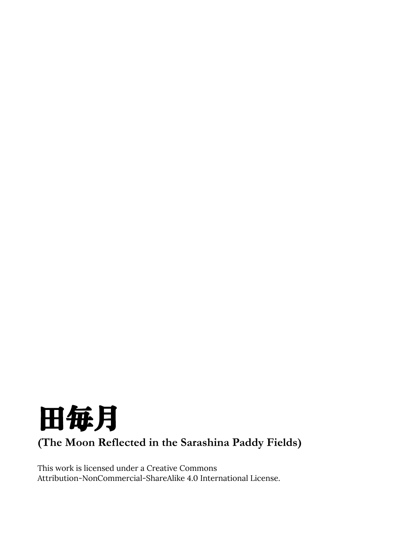## 田毎月 **(The Moon Reflected in the Sarashina Paddy Fields)**

This work is licensed under a Creative Commons Attribution-NonCommercial-ShareAlike 4.0 International License.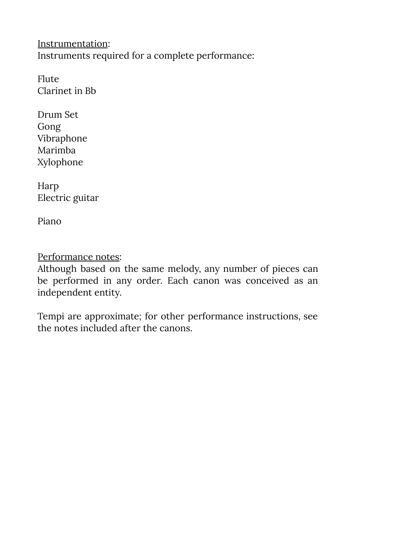Instrumentation: Instruments required for a complete performance:

Flute Clarinet in Bb

| Drum Set   |
|------------|
| Gong       |
| Vibraphone |
| Marimba    |
| Xylophone  |

Harp Electric guitar

Piano

## Performance notes:

Although based on the same melody, any number of pieces can be performed in any order. Each canon was conceived as an independent entity.

Tempi are approximate; for other performance instructions, see the notes included after the canons.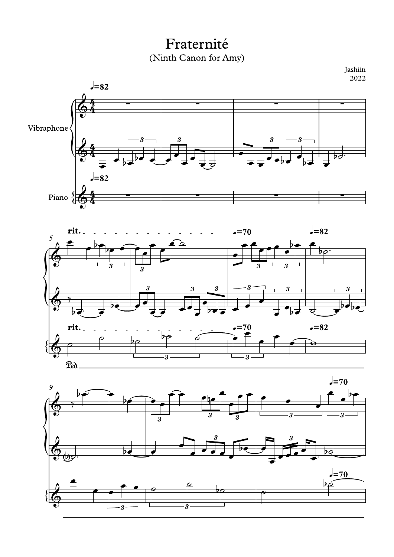Fraternité (Ninth Canon for Amy)



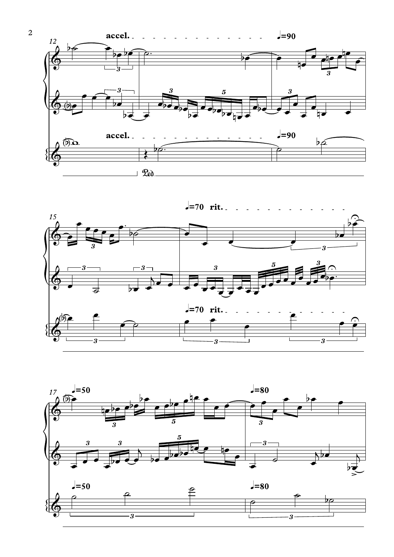

 $\sqrt{70}$  rit.  $\sqrt{25}$  $\sqrt{270}$  rit.  $\overline{3}$   $\overline{3}$   $\overline{3}$   $\overline{3}$   $\overline{3}$ <sup>3</sup> 3 3 <sup>5</sup>  $\frac{3}{2}$ 3 3 3



 $\overline{2}$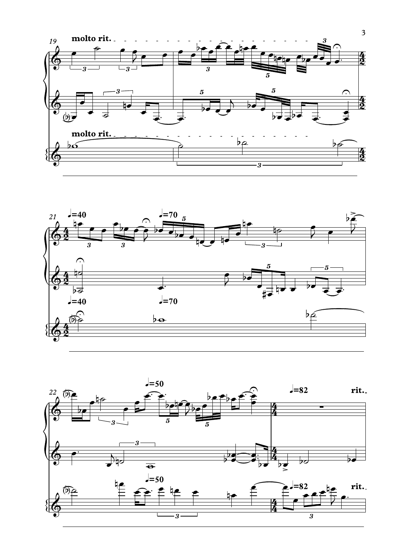



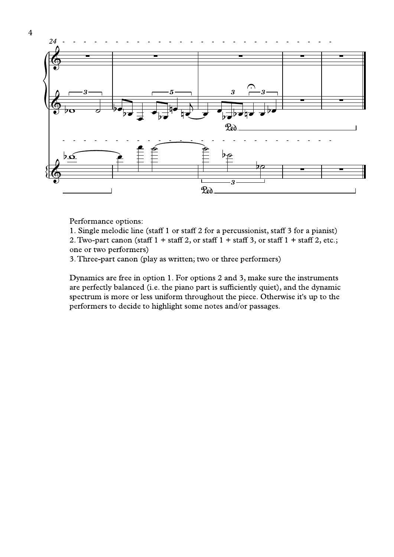

Performance options:

1. Single melodic line (staff 1 or staff 2 for a percussionist, staff 3 for a pianist) 2. Two-part canon (staff  $1 + \text{staff } 2$ , or staff  $1 + \text{staff } 3$ , or staff  $1 + \text{staff } 2$ , etc.; one or two performers)

3. Three-part canon (play as written; two or three performers)

Dynamics are free in option 1. For options 2 and 3, make sure the instruments are perfectly balanced (i.e. the piano part is sufficiently quiet), and the dynamic spectrum is more or less uniform throughout the piece. Otherwise it's up to the performers to decide to highlight some notes and/or passages.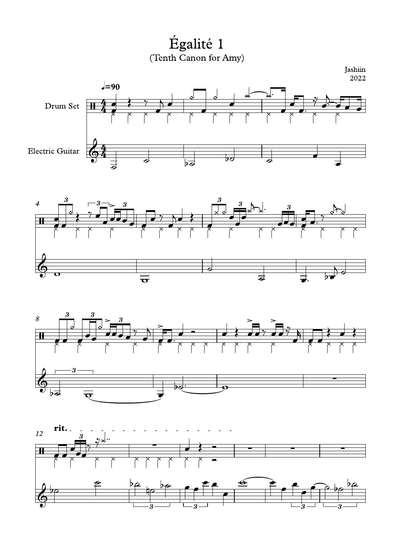Égalité 1 (Tenth Canon for Amy)





![](_page_6_Figure_3.jpeg)

![](_page_6_Figure_4.jpeg)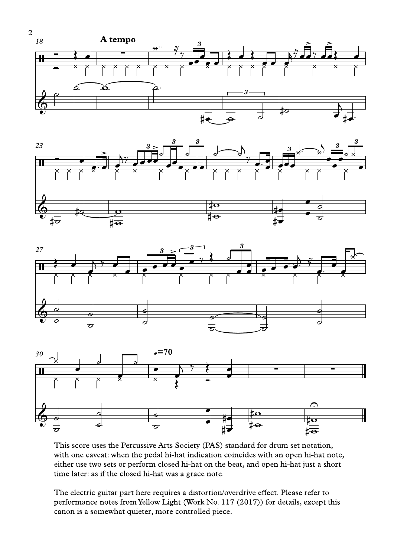![](_page_7_Figure_0.jpeg)

![](_page_7_Figure_1.jpeg)

![](_page_7_Figure_2.jpeg)

![](_page_7_Figure_3.jpeg)

This score uses the Percussive Arts Society (PAS) standard for drum set notation, with one caveat: when the pedal hi-hat indication coincides with an open hi-hat note, either use two sets or perform closed hi-hat on the beat, and open hi-hat just a short time later: as if the closed hi-hat was a grace note.

The electric guitar part here requires a distortion/overdrive effect. Please refer to performance notes from Yellow Light (Work No. 117 (2017)) for details, except this canon is a somewhat quieter, more controlled piece.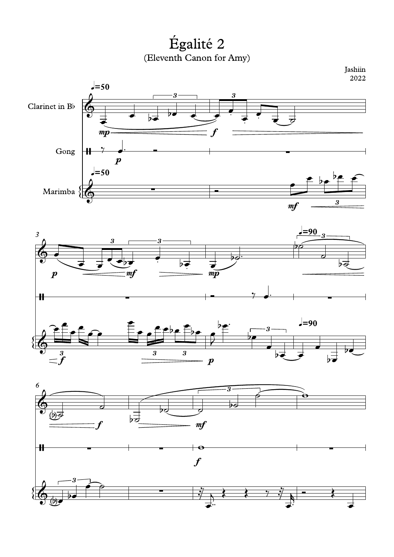Égalité $\sqrt{2}$ (Eleventh Canon for Amy)

![](_page_8_Figure_1.jpeg)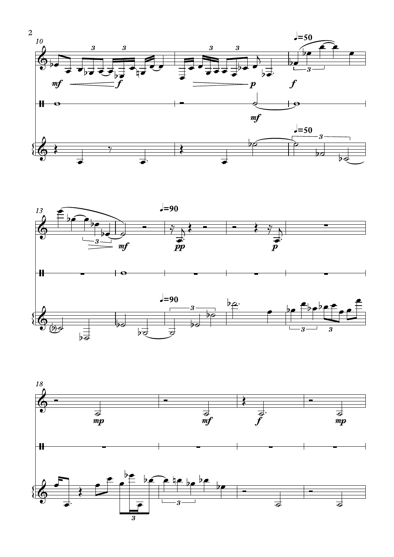![](_page_9_Figure_0.jpeg)

![](_page_9_Figure_1.jpeg)

![](_page_9_Figure_2.jpeg)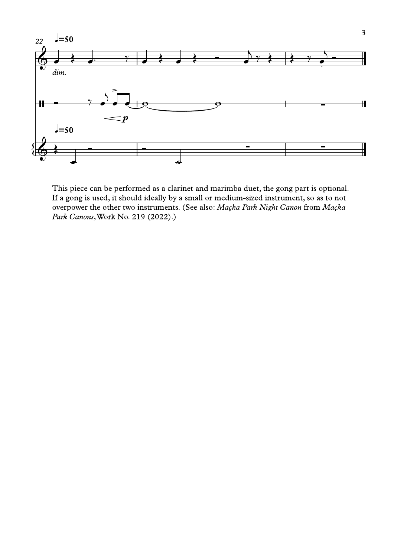![](_page_10_Figure_0.jpeg)

This piece can be performed as a clarinet and marimba duet, the gong part is optional. If a gong is used, it should ideally by a small or medium-sized instrument, so as to not overpower the other two instruments. (See also: Macka Park Night Canon from Macka Park Canons, Work No. 219 (2022).)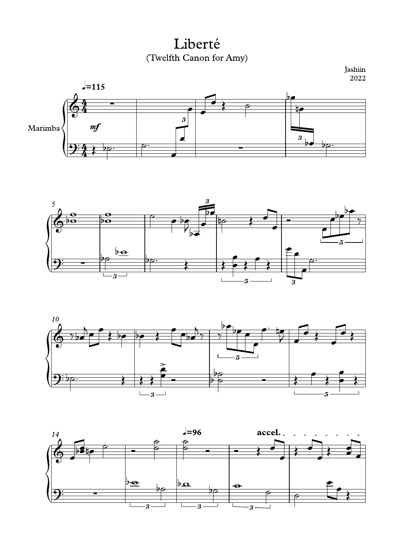Liberté (Twelfth Canon for Amy)

![](_page_11_Figure_1.jpeg)

![](_page_11_Figure_2.jpeg)

![](_page_11_Figure_3.jpeg)

![](_page_11_Figure_4.jpeg)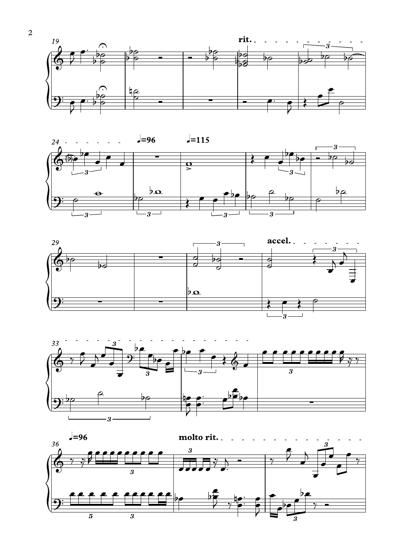![](_page_12_Figure_0.jpeg)

![](_page_12_Figure_1.jpeg)

![](_page_12_Figure_2.jpeg)

![](_page_12_Figure_3.jpeg)

![](_page_12_Figure_4.jpeg)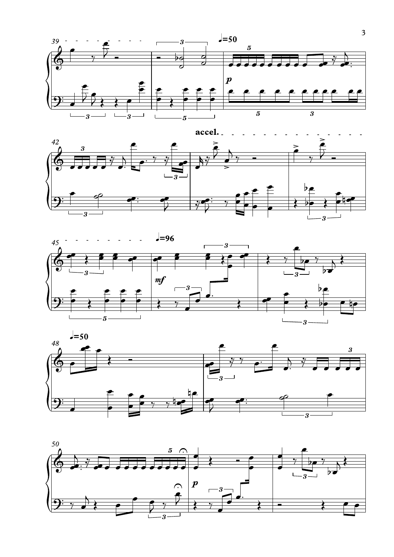![](_page_13_Figure_0.jpeg)

![](_page_13_Figure_1.jpeg)

![](_page_13_Figure_2.jpeg)

![](_page_13_Figure_3.jpeg)

![](_page_13_Figure_4.jpeg)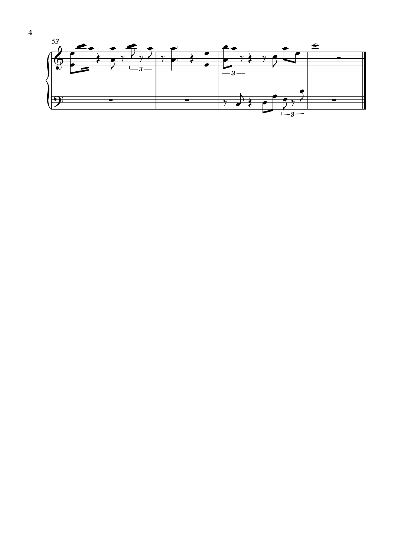![](_page_14_Figure_0.jpeg)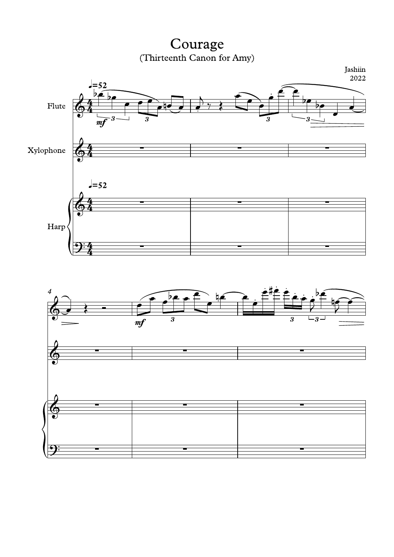Courage<br>(Thirteenth Canon for Amy)

![](_page_15_Figure_1.jpeg)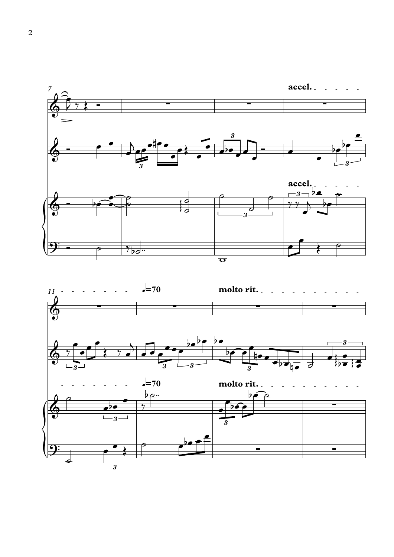accel. . .

![](_page_16_Figure_1.jpeg)